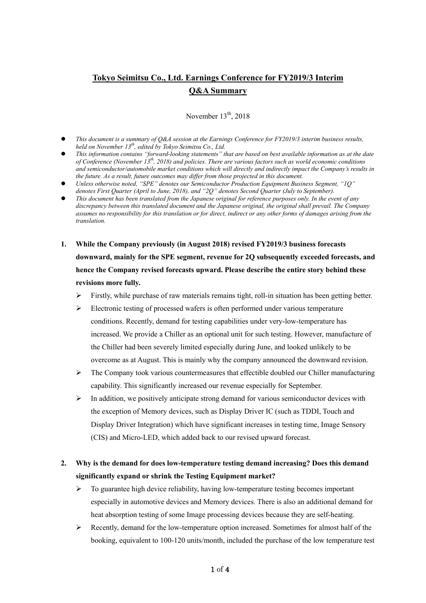# **Tokyo Seimitsu Co., Ltd. Earnings Conference for FY2019/3 Interim Q&A Summary**

November  $13<sup>th</sup>$ , 2018

- *This document is a summary of Q&A session at the Earnings Conference for FY2019/3 interim business results, held on November 13th, edited by Tokyo Seimitsu Co., Ltd.*
- *This information contains "forward-looking statements" that are based on best available information as at the date of Conference (November 13th, 2018) and policies. There are various factors such as world economic conditions and semiconductor/automobile market conditions which will directly and indirectly impact the Company's results in the future. As a result, future outcomes may differ from those projected in this document.*
- *Unless otherwise noted, "SPE" denotes our Semiconductor Production Equipment Business Segment, "1Q" denotes First Quarter (April to June, 2018), and "2Q" denotes Second Quarter (July to September).*
- *This document has been translated from the Japanese original for reference purposes only. In the event of any discrepancy between this translated document and the Japanese original, the original shall prevail. The Company assumes no responsibility for this translation or for direct, indirect or any other forms of damages arising from the translation.*
- **1. While the Company previously (in August 2018) revised FY2019/3 business forecasts downward, mainly for the SPE segment, revenue for 2Q subsequently exceeded forecasts, and hence the Company revised forecasts upward. Please describe the entire story behind these revisions more fully.** 
	- $\triangleright$  Firstly, while purchase of raw materials remains tight, roll-in situation has been getting better.
	- $\triangleright$  Electronic testing of processed wafers is often performed under various temperature conditions. Recently, demand for testing capabilities under very-low-temperature has increased. We provide a Chiller as an optional unit for such testing. However, manufacture of the Chiller had been severely limited especially during June, and looked unlikely to be overcome as at August. This is mainly why the company announced the downward revision.
	- $\triangleright$  The Company took various countermeasures that effectible doubled our Chiller manufacturing capability. This significantly increased our revenue especially for September.
	- $\triangleright$  In addition, we positively anticipate strong demand for various semiconductor devices with the exception of Memory devices, such as Display Driver IC (such as TDDI, Touch and Display Driver Integration) which have significant increases in testing time, Image Sensory (CIS) and Micro-LED, which added back to our revised upward forecast.
- **2. Why is the demand for does low-temperature testing demand increasing? Does this demand significantly expand or shrink the Testing Equipment market?** 
	- $\triangleright$  To guarantee high device reliability, having low-temperature testing becomes important especially in automotive devices and Memory devices. There is also an additional demand for heat absorption testing of some Image processing devices because they are self-heating.
	- $\triangleright$  Recently, demand for the low-temperature option increased. Sometimes for almost half of the booking, equivalent to 100-120 units/month, included the purchase of the low temperature test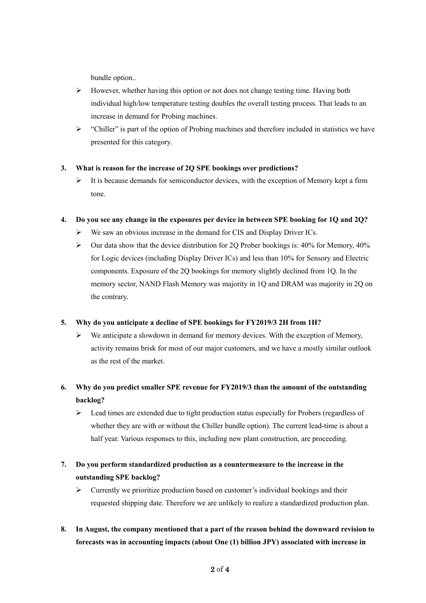bundle option..

- $\triangleright$  However, whether having this option or not does not change testing time. Having both individual high/low temperature testing doubles the overall testing process. That leads to an increase in demand for Probing machines.
- $\triangleright$  "Chiller" is part of the option of Probing machines and therefore included in statistics we have presented for this category.

### **3. What is reason for the increase of 2Q SPE bookings over predictions?**

 $\triangleright$  It is because demands for semiconductor devices, with the exception of Memory kept a firm tone.

#### **4. Do you see any change in the exposures per device in between SPE booking for 1Q and 2Q?**

- $\triangleright$  We saw an obvious increase in the demand for CIS and Display Driver ICs.
- $\triangleright$  Our data show that the device distribution for 2Q Prober bookings is: 40% for Memory, 40% for Logic devices (including Display Driver ICs) and less than 10% for Sensory and Electric components. Exposure of the 2Q bookings for memory slightly declined from 1Q. In the memory sector, NAND Flash Memory was majority in 1Q and DRAM was majority in 2Q on the contrary.

#### **5. Why do you anticipate a decline of SPE bookings for FY2019/3 2H from 1H?**

 $\triangleright$  We anticipate a slowdown in demand for memory devices. With the exception of Memory, activity remains brisk for most of our major customers, and we have a mostly similar outlook as the rest of the market.

## **6. Why do you predict smaller SPE revenue for FY2019/3 than the amount of the outstanding backlog?**

 Lead times are extended due to tight production status especially for Probers (regardless of whether they are with or without the Chiller bundle option). The current lead-time is about a half year. Various responses to this, including new plant construction, are proceeding.

## **7. Do you perform standardized production as a countermeasure to the increase in the outstanding SPE backlog?**

- $\triangleright$  Currently we prioritize production based on customer's individual bookings and their requested shipping date. Therefore we are unlikely to realize a standardized production plan.
- **8. In August, the company mentioned that a part of the reason behind the downward revision to forecasts was in accounting impacts (about One (1) billion JPY) associated with increase in**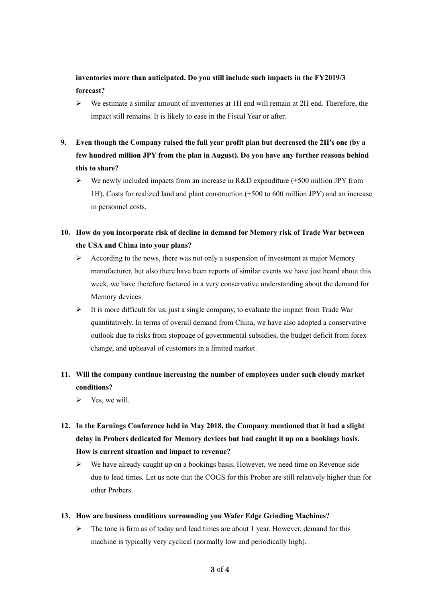### **inventories more than anticipated. Do you still include such impacts in the FY2019/3 forecast?**

- $\triangleright$  We estimate a similar amount of inventories at 1H end will remain at 2H end. Therefore, the impact still remains. It is likely to ease in the Fiscal Year or after.
- **9. Even though the Company raised the full year profit plan but decreased the 2H's one (by a few hundred million JPY from the plan in August). Do you have any further reasons behind this to share?** 
	- $\triangleright$  We newly included impacts from an increase in R&D expenditure (+500 million JPY from 1H), Costs for realized land and plant construction (+500 to 600 million JPY) and an increase in personnel costs.

## **10. How do you incorporate risk of decline in demand for Memory risk of Trade War between the USA and China into your plans?**

- $\triangleright$  According to the news, there was not only a suspension of investment at major Memory manufacturer, but also there have been reports of similar events we have just heard about this week, we have therefore factored in a very conservative understanding about the demand for Memory devices.
- $\triangleright$  It is more difficult for us, just a single company, to evaluate the impact from Trade War quantitatively. In terms of overall demand from China, we have also adopted a conservative outlook due to risks from stoppage of governmental subsidies, the budget deficit from forex change, and upheaval of customers in a limited market.

# **11. Will the company continue increasing the number of employees under such cloudy market conditions?**

- $\triangleright$  Yes, we will.
- **12. In the Earnings Conference held in May 2018, the Company mentioned that it had a slight delay in Probers dedicated for Memory devices but had caught it up on a bookings basis. How is current situation and impact to revenue?** 
	- $\triangleright$  We have already caught up on a bookings basis. However, we need time on Revenue side due to lead times. Let us note that the COGS for this Prober are still relatively higher than for other Probers.

### **13. How are business conditions surrounding you Wafer Edge Grinding Machines?**

 $\triangleright$  The tone is firm as of today and lead times are about 1 year. However, demand for this machine is typically very cyclical (normally low and periodically high).